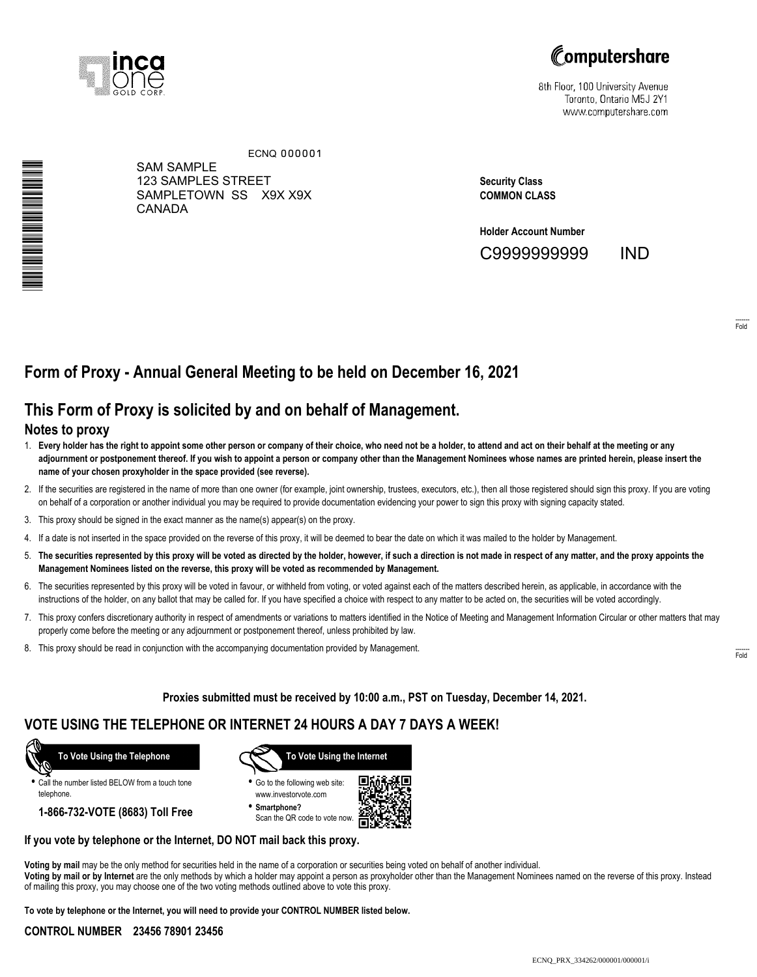



8th Floor, 100 University Avenue Toronto, Ontario M5J 2Y1 www.computershare.com

\*S000001Q01\*

SAM SAMPLE 123 SAMPLES STREET SAMPLETOWN SS X9X X9X CANADA ECNQ 000001

**Security Class COMMON CLASS**

**Holder Account Number** C9999999999 IND

------- Fold

# **Form of Proxy - Annual General Meeting to be held on December 16, 2021**

## **This Form of Proxy is solicited by and on behalf of Management.**

### **Notes to proxy**

- 1. **Every holder has the right to appoint some other person or company of their choice, who need not be a holder, to attend and act on their behalf at the meeting or any adjournment or postponement thereof. If you wish to appoint a person or company other than the Management Nominees whose names are printed herein, please insert the name of your chosen proxyholder in the space provided (see reverse).**
- 2. If the securities are registered in the name of more than one owner (for example, joint ownership, trustees, executors, etc.), then all those registered should sign this proxy. If you are voting on behalf of a corporation or another individual you may be required to provide documentation evidencing your power to sign this proxy with signing capacity stated.
- 3. This proxy should be signed in the exact manner as the name(s) appear(s) on the proxy.
- 4. If a date is not inserted in the space provided on the reverse of this proxy, it will be deemed to bear the date on which it was mailed to the holder by Management.
- 5. **The securities represented by this proxy will be voted as directed by the holder, however, if such a direction is not made in respect of any matter, and the proxy appoints the Management Nominees listed on the reverse, this proxy will be voted as recommended by Management.**
- 6. The securities represented by this proxy will be voted in favour, or withheld from voting, or voted against each of the matters described herein, as applicable, in accordance with the instructions of the holder, on any ballot that may be called for. If you have specified a choice with respect to any matter to be acted on, the securities will be voted accordingly.
- 7. This proxy confers discretionary authority in respect of amendments or variations to matters identified in the Notice of Meeting and Management Information Circular or other matters that may properly come before the meeting or any adjournment or postponement thereof, unless prohibited by law.
- 8. This proxy should be read in conjunction with the accompanying documentation provided by Management.

**Proxies submitted must be received by 10:00 a.m., PST on Tuesday, December 14, 2021.**

## **VOTE USING THE TELEPHONE OR INTERNET 24 HOURS A DAY 7 DAYS A WEEK!**



**•** Call the number listed BELOW from a touch tone telephone.

**1-866-732-VOTE (8683) Toll Free**



**•** Go to the following web site: www.investorvote.com

**• Smartphone?** Scan the QR code to vote now.



#### **If you vote by telephone or the Internet, DO NOT mail back this proxy.**

**Voting by mail** may be the only method for securities held in the name of a corporation or securities being voted on behalf of another individual. **Voting by mail or by Internet** are the only methods by which a holder may appoint a person as proxyholder other than the Management Nominees named on the reverse of this proxy. Instead of mailing this proxy, you may choose one of the two voting methods outlined above to vote this proxy.

**To vote by telephone or the Internet, you will need to provide your CONTROL NUMBER listed below.**

#### **CONTROL NUMBER 23456 78901 23456**